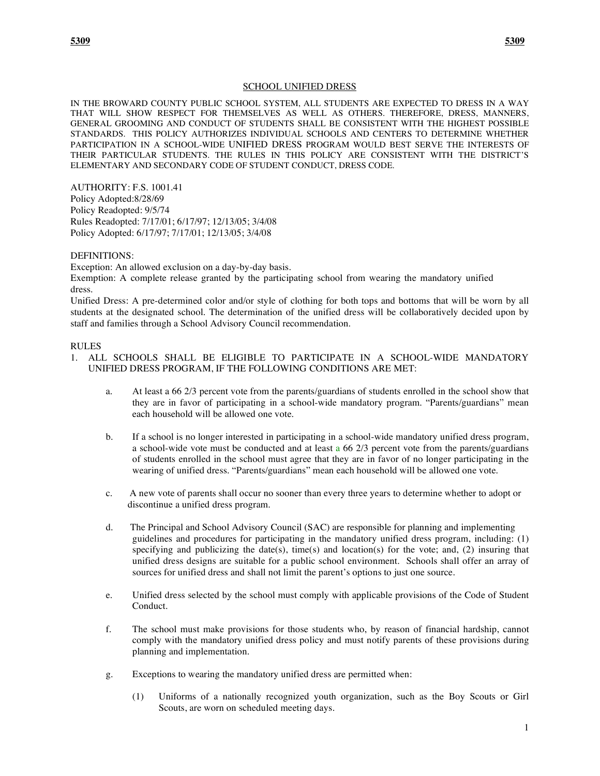## SCHOOL UNIFIED DRESS

IN THE BROWARD COUNTY PUBLIC SCHOOL SYSTEM, ALL STUDENTS ARE EXPECTED TO DRESS IN A WAY THAT WILL SHOW RESPECT FOR THEMSELVES AS WELL AS OTHERS. THEREFORE, DRESS, MANNERS, GENERAL GROOMING AND CONDUCT OF STUDENTS SHALL BE CONSISTENT WITH THE HIGHEST POSSIBLE STANDARDS. THIS POLICY AUTHORIZES INDIVIDUAL SCHOOLS AND CENTERS TO DETERMINE WHETHER PARTICIPATION IN A SCHOOL-WIDE UNIFIED DRESS PROGRAM WOULD BEST SERVE THE INTERESTS OF THEIR PARTICULAR STUDENTS. THE RULES IN THIS POLICY ARE CONSISTENT WITH THE DISTRICT'S ELEMENTARY AND SECONDARY CODE OF STUDENT CONDUCT, DRESS CODE.

AUTHORITY: F.S. 1001.41 Policy Adopted:8/28/69 Policy Readopted: 9/5/74 Rules Readopted: 7/17/01; 6/17/97; 12/13/05; 3/4/08 Policy Adopted: 6/17/97; 7/17/01; 12/13/05; 3/4/08

#### DEFINITIONS:

Exception: An allowed exclusion on a day-by-day basis.

Exemption: A complete release granted by the participating school from wearing the mandatory unified dress.

Unified Dress: A pre-determined color and/or style of clothing for both tops and bottoms that will be worn by all students at the designated school. The determination of the unified dress will be collaboratively decided upon by staff and families through a School Advisory Council recommendation.

#### RULES

- 1. ALL SCHOOLS SHALL BE ELIGIBLE TO PARTICIPATE IN A SCHOOL-WIDE MANDATORY UNIFIED DRESS PROGRAM, IF THE FOLLOWING CONDITIONS ARE MET:
	- a. At least a 66 2/3 percent vote from the parents/guardians of students enrolled in the school show that they are in favor of participating in a school-wide mandatory program. "Parents/guardians" mean each household will be allowed one vote.
	- b. If a school is no longer interested in participating in a school-wide mandatory unified dress program, a school-wide vote must be conducted and at least a 66 2/3 percent vote from the parents/guardians of students enrolled in the school must agree that they are in favor of no longer participating in the wearing of unified dress. "Parents/guardians" mean each household will be allowed one vote.
	- c. A new vote of parents shall occur no sooner than every three years to determine whether to adopt or discontinue a unified dress program.
	- d. The Principal and School Advisory Council (SAC) are responsible for planning and implementing guidelines and procedures for participating in the mandatory unified dress program, including: (1) specifying and publicizing the date(s), time(s) and location(s) for the vote; and,  $(2)$  insuring that unified dress designs are suitable for a public school environment. Schools shall offer an array of sources for unified dress and shall not limit the parent's options to just one source.
	- e. Unified dress selected by the school must comply with applicable provisions of the Code of Student Conduct.
	- f. The school must make provisions for those students who, by reason of financial hardship, cannot comply with the mandatory unified dress policy and must notify parents of these provisions during planning and implementation.
	- g. Exceptions to wearing the mandatory unified dress are permitted when:
		- (1) Uniforms of a nationally recognized youth organization, such as the Boy Scouts or Girl Scouts, are worn on scheduled meeting days.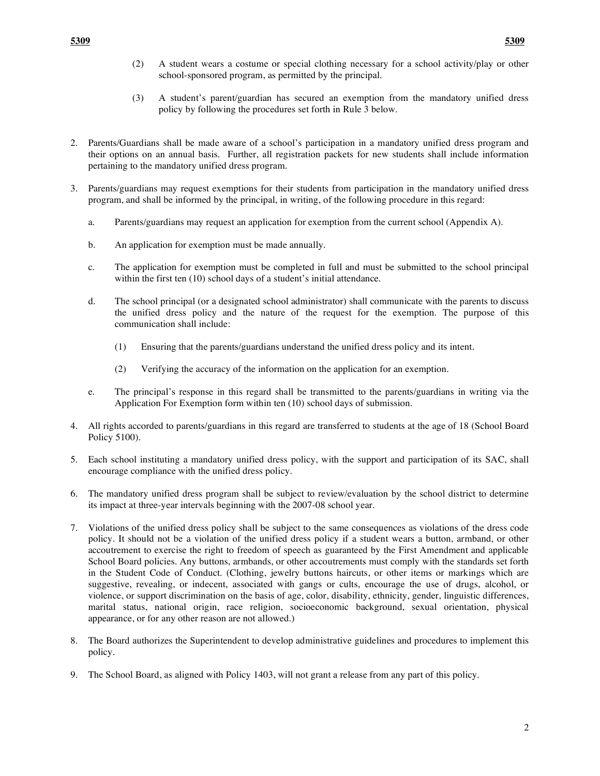- (2) A student wears a costume or special clothing necessary for a school activity/play or other school-sponsored program, as permitted by the principal.
- (3) A student's parent/guardian has secured an exemption from the mandatory unified dress policy by following the procedures set forth in Rule 3 below.
- 2. Parents/Guardians shall be made aware of a school's participation in a mandatory unified dress program and their options on an annual basis. Further, all registration packets for new students shall include information pertaining to the mandatory unified dress program.
- 3. Parents/guardians may request exemptions for their students from participation in the mandatory unified dress program, and shall be informed by the principal, in writing, of the following procedure in this regard:
	- a. Parents/guardians may request an application for exemption from the current school (Appendix A).
	- b. An application for exemption must be made annually.
	- c. The application for exemption must be completed in full and must be submitted to the school principal within the first ten (10) school days of a student's initial attendance.
	- d. The school principal (or a designated school administrator) shall communicate with the parents to discuss the unified dress policy and the nature of the request for the exemption. The purpose of this communication shall include:
		- (1) Ensuring that the parents/guardians understand the unified dress policy and its intent.
		- (2) Verifying the accuracy of the information on the application for an exemption.
	- e. The principal's response in this regard shall be transmitted to the parents/guardians in writing via the Application For Exemption form within ten (10) school days of submission.
- 4. All rights accorded to parents/guardians in this regard are transferred to students at the age of 18 (School Board Policy 5100).
- 5. Each school instituting a mandatory unified dress policy, with the support and participation of its SAC, shall encourage compliance with the unified dress policy.
- 6. The mandatory unified dress program shall be subject to review/evaluation by the school district to determine its impact at three-year intervals beginning with the 2007-08 school year.
- 7. Violations of the unified dress policy shall be subject to the same consequences as violations of the dress code policy. It should not be a violation of the unified dress policy if a student wears a button, armband, or other accoutrement to exercise the right to freedom of speech as guaranteed by the First Amendment and applicable School Board policies. Any buttons, armbands, or other accoutrements must comply with the standards set forth in the Student Code of Conduct. (Clothing, jewelry buttons haircuts, or other items or markings which are suggestive, revealing, or indecent, associated with gangs or cults, encourage the use of drugs, alcohol, or violence, or support discrimination on the basis of age, color, disability, ethnicity, gender, linguistic differences, marital status, national origin, race religion, socioeconomic background, sexual orientation, physical appearance, or for any other reason are not allowed.)
- 8. The Board authorizes the Superintendent to develop administrative guidelines and procedures to implement this policy.
- 9. The School Board, as aligned with Policy 1403, will not grant a release from any part of this policy.